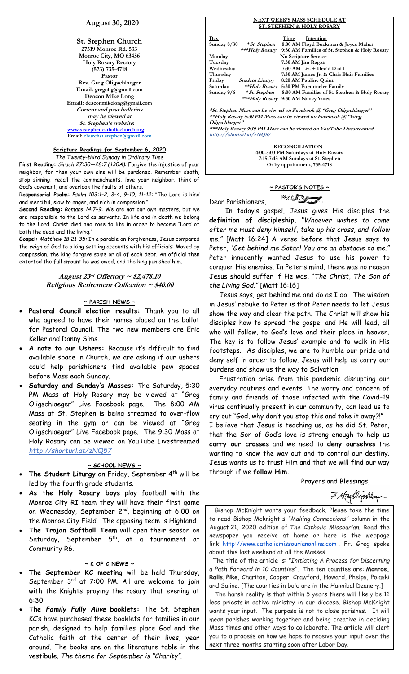# **August 30, 2020**

**St. Stephen Church 27519 Monroe Rd. 533 Monroe City, MO 63456 Holy Rosary Rectory (573) 735-4718 Pastor Rev. Greg Oligschlaeger Email: gregolig@gmail.com Deacon Mike Long Email: deaconmikelong@gmail.com Current and past bulletins may be viewed at St. Stephen's website: [www.ststephencatholicchurch.org](http://www.ststephencatholicchurch.org/) Email: [churchst.stephen@gmail.com](mailto:churchst.stephen@gmail.com)**

#### **Scripture Readings for September 6, 2020** *The Twenty-third Sunday in Ordinary Time*

**First Reading:** *Sirach 27:30—28:7 (130A):* Forgive the injustice of your neighbor, for then your own sins will be pardoned. Remember death, stop sinning, recall the commandments, love your neighbor, think of God's covenant, and overlook the faults of others.

R**esponsorial Psalm:** *Psalm 103:1–2, 3–4, 9–10, 11–12:* "The Lord is kind and merciful, slow to anger, and rich in compassion."

**Second Reading:** *Romans 14:7–9*: We are not our own masters, but we are responsible to the Lord as servants. In life and in death we belong to the Lord. Christ died and rose to life in order to become "Lord of both the dead and the living."

**Gospel:** *Matthew 18:21–35:* In a parable on forgiveness, Jesus compared the reign of God to a king settling accounts with his officials: Moved by compassion, the king forgave some or all of each debt. An official then extorted the full amount he was owed, and the king punished him.

> **August 23rd Offertory ~ \$2,478.10 Religious Retirement Collection ~ \$40.00**

### **~ PARISH NEWS ~**

- **Pastoral Council election results:** Thank you to all who agreed to have their names placed on the ballot for Pastoral Council. The two new members are Eric Keller and Danny Sims.
- **A note to our Ushers:** Because it's difficult to find available space in Church, we are asking if our ushers could help parishioners find available pew spaces before Mass each Sunday.
- **Saturday and Sunday's Masses:** The Saturday, 5:30 PM Mass at Holy Rosary may be viewed at "Greg Oligschlaeger" Live Facebook page. The 8:00 AM Mass at St. Stephen is being streamed to over-flow seating in the gym or can be viewed at "Greg Oligschlaeger" Live Facebook page. The 9:30 Mass at Holy Rosary can be viewed on YouTube Livestreamed *http://shorturl.at/zNQ57*

### **~ SCHOOL NEWS ~**

- The Student Liturgy on Friday, September 4<sup>th</sup> will be led by the fourth grade students.
- **As the Holy Rosary boys** play football with the Monroe City RI team they will have their first game on Wednesday, September 2<sup>nd</sup>, beginning at 6:00 on the Monroe City Field. The opposing team is Highland.
- **The Trojan Softball Team** will open their season on Saturday, September 5<sup>th</sup>, at a tournament at Community R6.

# **~ K OF C NEWS ~**

- **The September KC meeting** will be held Thursday, September 3rd at 7:00 PM. All are welcome to join with the Knights praying the rosary that evening at 6:30.
- **The** *Family Fully Alive* **booklets:** The St. Stephen KC's have purchased these booklets for families in our parish, designed to help families place God and the Catholic faith at the center of their lives, year around. The books are on the literature table in the vestibule. *The theme for September is "Charity"*.

#### **NEXT WEEK'S MASS SCHEDULE AT ST. STEPHEN & HOLY ROSARY**

| <u>Day</u>    |                        | Time | Intention                                     |  |
|---------------|------------------------|------|-----------------------------------------------|--|
| Sunday $8/30$ | *St. Stephen           |      | 8:00 AM Floyd Buckman & Joyce Maher           |  |
|               | ***Holy Rosary         |      | 9:30 AM Families of St. Stephen & Holy Rosary |  |
| Monday        |                        |      | No Scripture Service                          |  |
| Tuesday       |                        |      | 7:30 AM Jim Ragan                             |  |
| Wednesday     |                        |      | $7:30$ AM Liv. $+$ Dec'd D of I               |  |
| Thursday      |                        |      | 7:30 AM James Jr. & Chris Blair Families      |  |
| Friday        | <b>Student Liturgy</b> |      | 8:20 AM Pauline Quinn                         |  |
| Saturday      | <i>**Holy Rosary</i>   |      | 5:30 PM Fuemmeler Family                      |  |
| Sunday $9/6$  | * St. Stephen          |      | 8:00 AM Families of St. Stephen & Holy Rosary |  |
|               | ***Holy Rosary         |      | 9:30 AM Nancy Yates                           |  |
|               |                        |      |                                               |  |
|               |                        |      |                                               |  |

**\*St. Stephen Mass can be viewed on Facebook @ "Greg Oligschlaeger" \*\*Holy Rosary 5:30 PM Mass can be viewed on Facebook @ "Greg Oligschlaeger"**

**\*\*\*Holy Rosary 9:30 PM Mass can be viewed on YouTube Livestreamed htttp://shorturl.at/zNQ57** 

> **RECONCILIATION 4:00-5:00 PM Saturdays at Holy Rosary 7:15-7:45 AM Sundays at St. Stephen Or by appointment, 735-4718**

# **~ PASTOR'S NOTES ~**  $\mathbb{Z}$

Dear Parishioners,

 In today's gospel, Jesus gives His disciples the **definition of discipleship**, *"Whoever wishes to come after me must deny himself, take up his cross, and follow me."* [Matt 16:24] A verse before that Jesus says to Peter, *"Get behind me Satan! You are an obstacle to me."* Peter innocently wanted Jesus to use his power to conquer His enemies. In Peter's mind, there was no reason Jesus should suffer if He was, "*The Christ, The Son of the Living God."* [Matt 16:16]

 Jesus says, get behind me and do as I do. The wisdom in Jesus' rebuke to Peter is that Peter needs to let Jesus show the way and clear the path. The Christ will show his disciples how to spread the gospel and He will lead, all who will follow, to God's love and their place in heaven. The key is to follow Jesus' example and to walk in His footsteps. As disciples, we are to humble our pride and deny self in order to follow. Jesus will help us carry our burdens and show us the way to Salvation.

 Frustration arise from this pandemic disrupting our everyday routines and events. The worry and concern of family and friends of those infected with the Covid-19 virus continually present in our community, can lead us to cry out "God, why don't you stop this and take it away?!"

I believe that Jesus is teaching us, as he did St. Peter, that the Son of God's love is strong enough to help us **carry our crosses** and we need to **deny ourselves** the wanting to know the way out and to control our destiny. Jesus wants us to trust Him and that we will find our way through if we **follow Him.**

Prayers and Blessings,

7. Hegellinchlaun

 Bishop McKnight wants your feedback. Please take the time to read Bishop Mcknight's *"Making Connections"* column in the August 21, 2020 edition of *The Catholic Missourian*. Read the newspaper you receive at home or here is the webpage link: [http://www.catholicmissourianonline.com](http://www.catholicmissourianonline.com/) . Fr. Greg spoke about this last weekend at all the Masses.

The title of the article is: *"Initiating A Process for Discerning a Path Forward in 10 Counties"*. The ten counties are: **Monroe, Ralls**, **Pike**, Chariton, Cooper, Crawford, Howard, Phelps, Polaski and Saline. [The counties in bold are in the Hannibal Deanery.]

The harsh reality is that within 5 years there will likely be 11 less priests in active ministry in our diocese. Bishop McKnight wants your input. The purpose is not to close parishes. It will mean parishes working together and being creative in deciding Mass times and other ways to collaborate. The article will alert you to a process on how we hope to receive your input over the next three months starting soon after Labor Day.